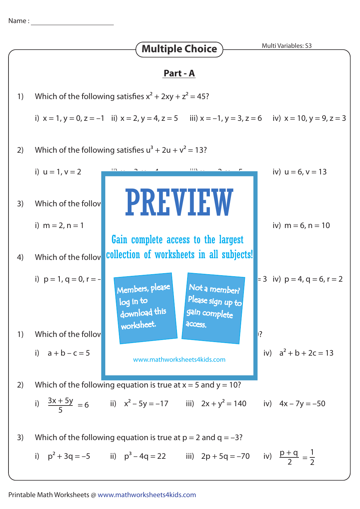